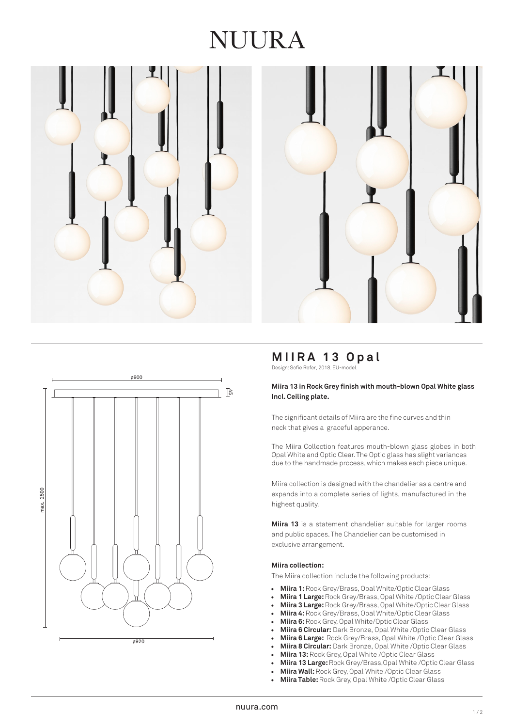# NUURA







# **MIIRA 13 Opal**

Design: Sofie Refer, 2018. EU-model.

### **Miira 13 in Rock Grey finish with mouth -blown Opal White glas s Incl. Ceiling plate.**

The significant details of Miira are the fine curves and thin neck that gives a graceful apperance.

The Miira Collection features mouth -blown glass globes in both Opal White and Optic Clea r. The Optic glass has slight variances due to the handmade process, which makes each piece unique.

Miira collection is designed with the chandelier as a centre and expands into a complete series of lights, manufactured in the highest qualit y.

Miira 13 is a statement chandelier suitable for larger rooms and public spaces. The Chandelier can be customised in exclusive arrangement.

#### **Miira collection:**

The Miira collection include the following products:

- **Miira 1:** Rock Grey/Brass, Opal White/Optic Clear Glass
- **Miira 1 Large:** Rock Grey/Brass, Opal White /Optic Clear Glass
- **Miira 3 Large:**Rock Grey/Brass, Opal White/Optic Clear Glass
- **Miira 4:** Rock Grey/Brass, Opal White/Optic Clear Glass
- **Miira 6:**Rock Grey, Opal White/Optic Clear Glass
- **Miira 6 Circular:** Dark Bronze, Opal White /Optic Clear Glass
- **Miira 6 Large:** Rock Grey/Brass, Opal White /Optic Clear Glass
- **Miira 8 Circular:** Dark Bronze, Opal White /Optic Clear Glass
- **Miira 13:** Rock Grey, Opal White /Optic Clear Glass
- **Miira 13 Large:** Rock Grey/Brass,Opal White /Optic Clear Glass
- **Miira Wall:**Rock Grey, Opal White /Optic Clear Glass
- **Miira Table:** Rock Grey, Opal White /Optic Clear Glass